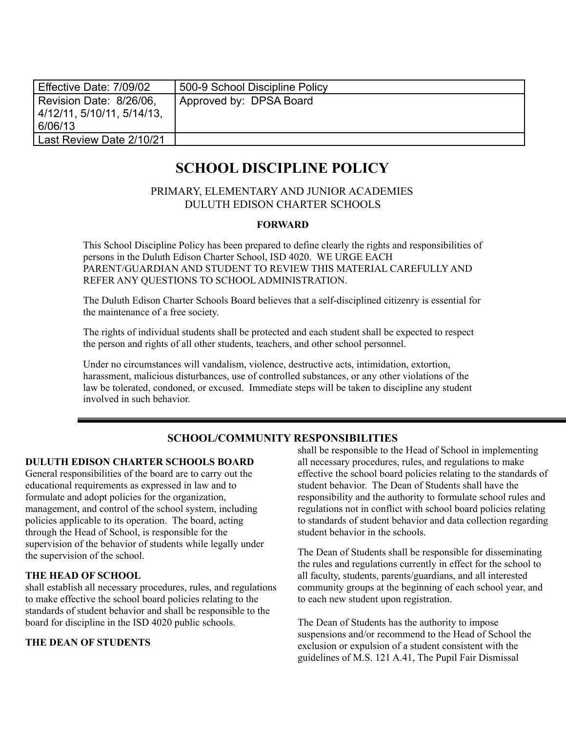| Effective Date: 7/09/02               | 500-9 School Discipline Policy |
|---------------------------------------|--------------------------------|
| Revision Date: 8/26/06,               | Approved by: DPSA Board        |
| 4/12/11, 5/10/11, 5/14/13.<br>6/06/13 |                                |
| Last Review Date 2/10/21              |                                |

# **SCHOOL DISCIPLINE POLICY**

## PRIMARY, ELEMENTARY AND JUNIOR ACADEMIES DULUTH EDISON CHARTER SCHOOLS

#### **FORWARD**

This School Discipline Policy has been prepared to define clearly the rights and responsibilities of persons in the Duluth Edison Charter School, ISD 4020. WE URGE EACH PARENT/GUARDIAN AND STUDENT TO REVIEW THIS MATERIAL CAREFULLY AND REFER ANY QUESTIONS TO SCHOOL ADMINISTRATION.

The Duluth Edison Charter Schools Board believes that a self-disciplined citizenry is essential for the maintenance of a free society.

The rights of individual students shall be protected and each student shall be expected to respect the person and rights of all other students, teachers, and other school personnel.

Under no circumstances will vandalism, violence, destructive acts, intimidation, extortion, harassment, malicious disturbances, use of controlled substances, or any other violations of the law be tolerated, condoned, or excused. Immediate steps will be taken to discipline any student involved in such behavior.

## **SCHOOL/COMMUNITY RESPONSIBILITIES**

#### **DULUTH EDISON CHARTER SCHOOLS BOARD**

General responsibilities of the board are to carry out the educational requirements as expressed in law and to formulate and adopt policies for the organization, management, and control of the school system, including policies applicable to its operation. The board, acting through the Head of School, is responsible for the supervision of the behavior of students while legally under the supervision of the school.

#### **THE HEAD OF SCHOOL**

shall establish all necessary procedures, rules, and regulations to make effective the school board policies relating to the standards of student behavior and shall be responsible to the board for discipline in the ISD 4020 public schools.

#### **THE DEAN OF STUDENTS**

shall be responsible to the Head of School in implementing all necessary procedures, rules, and regulations to make effective the school board policies relating to the standards of student behavior. The Dean of Students shall have the responsibility and the authority to formulate school rules and regulations not in conflict with school board policies relating to standards of student behavior and data collection regarding student behavior in the schools.

The Dean of Students shall be responsible for disseminating the rules and regulations currently in effect for the school to all faculty, students, parents/guardians, and all interested community groups at the beginning of each school year, and to each new student upon registration.

The Dean of Students has the authority to impose suspensions and/or recommend to the Head of School the exclusion or expulsion of a student consistent with the guidelines of M.S. 121 A.41, The Pupil Fair Dismissal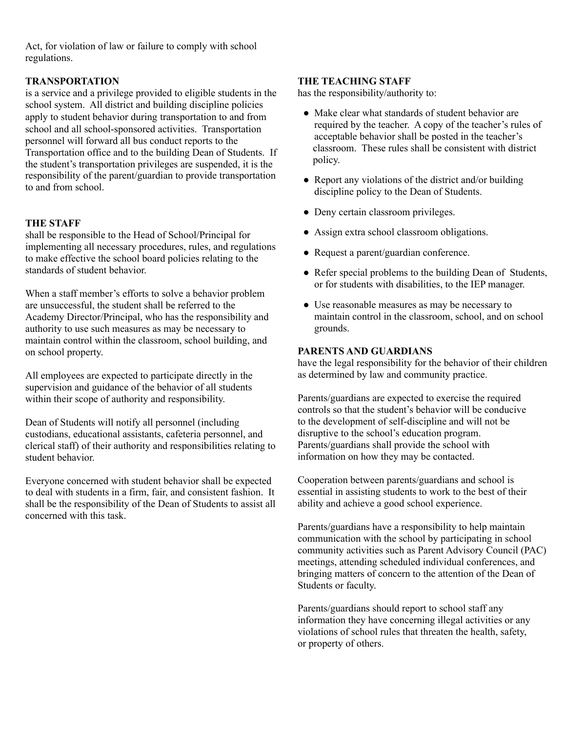Act, for violation of law or failure to comply with school regulations.

### **TRANSPORTATION**

is a service and a privilege provided to eligible students in the school system. All district and building discipline policies apply to student behavior during transportation to and from school and all school-sponsored activities. Transportation personnel will forward all bus conduct reports to the Transportation office and to the building Dean of Students. If the student's transportation privileges are suspended, it is the responsibility of the parent/guardian to provide transportation to and from school.

#### **THE STAFF**

shall be responsible to the Head of School/Principal for implementing all necessary procedures, rules, and regulations to make effective the school board policies relating to the standards of student behavior.

When a staff member's efforts to solve a behavior problem are unsuccessful, the student shall be referred to the Academy Director/Principal, who has the responsibility and authority to use such measures as may be necessary to maintain control within the classroom, school building, and on school property.

All employees are expected to participate directly in the supervision and guidance of the behavior of all students within their scope of authority and responsibility.

Dean of Students will notify all personnel (including custodians, educational assistants, cafeteria personnel, and clerical staff) of their authority and responsibilities relating to student behavior.

Everyone concerned with student behavior shall be expected to deal with students in a firm, fair, and consistent fashion. It shall be the responsibility of the Dean of Students to assist all concerned with this task.

#### **THE TEACHING STAFF**

has the responsibility/authority to:

- Make clear what standards of student behavior are required by the teacher. A copy of the teacher's rules of acceptable behavior shall be posted in the teacher's classroom. These rules shall be consistent with district policy.
- Report any violations of the district and/or building discipline policy to the Dean of Students.
- Deny certain classroom privileges.
- Assign extra school classroom obligations.
- Request a parent/guardian conference.
- Refer special problems to the building Dean of Students, or for students with disabilities, to the IEP manager.
- Use reasonable measures as may be necessary to maintain control in the classroom, school, and on school grounds.

#### **PARENTS AND GUARDIANS**

have the legal responsibility for the behavior of their children as determined by law and community practice.

Parents/guardians are expected to exercise the required controls so that the student's behavior will be conducive to the development of self-discipline and will not be disruptive to the school's education program. Parents/guardians shall provide the school with information on how they may be contacted.

Cooperation between parents/guardians and school is essential in assisting students to work to the best of their ability and achieve a good school experience.

Parents/guardians have a responsibility to help maintain communication with the school by participating in school community activities such as Parent Advisory Council (PAC) meetings, attending scheduled individual conferences, and bringing matters of concern to the attention of the Dean of Students or faculty.

Parents/guardians should report to school staff any information they have concerning illegal activities or any violations of school rules that threaten the health, safety, or property of others.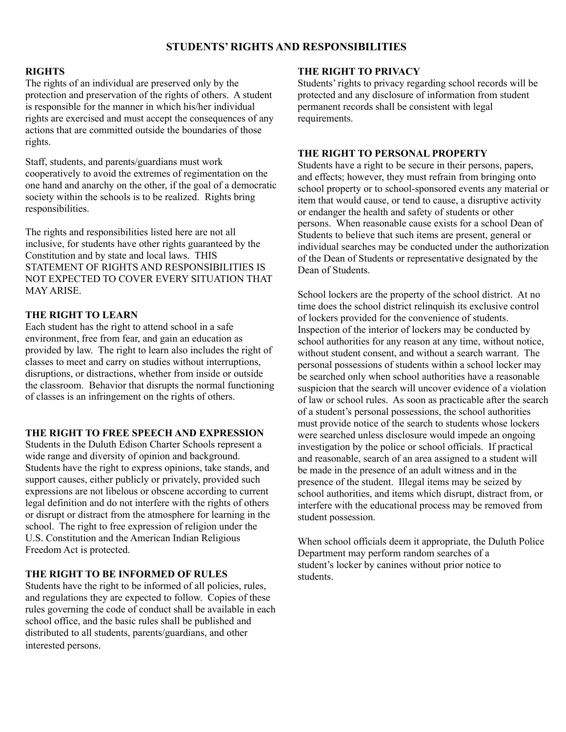## **STUDENTS' RIGHTS AND RESPONSIBILITIES**

#### **RIGHTS**

The rights of an individual are preserved only by the protection and preservation of the rights of others. A student is responsible for the manner in which his/her individual rights are exercised and must accept the consequences of any actions that are committed outside the boundaries of those rights.

Staff, students, and parents/guardians must work cooperatively to avoid the extremes of regimentation on the one hand and anarchy on the other, if the goal of a democratic society within the schools is to be realized. Rights bring responsibilities.

The rights and responsibilities listed here are not all inclusive, for students have other rights guaranteed by the Constitution and by state and local laws. THIS STATEMENT OF RIGHTS AND RESPONSIBILITIES IS NOT EXPECTED TO COVER EVERY SITUATION THAT MAY ARISE.

#### **THE RIGHT TO LEARN**

Each student has the right to attend school in a safe environment, free from fear, and gain an education as provided by law. The right to learn also includes the right of classes to meet and carry on studies without interruptions, disruptions, or distractions, whether from inside or outside the classroom. Behavior that disrupts the normal functioning of classes is an infringement on the rights of others.

#### **THE RIGHT TO FREE SPEECH AND EXPRESSION**

Students in the Duluth Edison Charter Schools represent a wide range and diversity of opinion and background. Students have the right to express opinions, take stands, and support causes, either publicly or privately, provided such expressions are not libelous or obscene according to current legal definition and do not interfere with the rights of others or disrupt or distract from the atmosphere for learning in the school. The right to free expression of religion under the U.S. Constitution and the American Indian Religious Freedom Act is protected.

#### **THE RIGHT TO BE INFORMED OF RULES**

Students have the right to be informed of all policies, rules, and regulations they are expected to follow. Copies of these rules governing the code of conduct shall be available in each school office, and the basic rules shall be published and distributed to all students, parents/guardians, and other interested persons.

### **THE RIGHT TO PRIVACY**

Students' rights to privacy regarding school records will be protected and any disclosure of information from student permanent records shall be consistent with legal requirements.

#### **THE RIGHT TO PERSONAL PROPERTY**

Students have a right to be secure in their persons, papers, and effects; however, they must refrain from bringing onto school property or to school-sponsored events any material or item that would cause, or tend to cause, a disruptive activity or endanger the health and safety of students or other persons. When reasonable cause exists for a school Dean of Students to believe that such items are present, general or individual searches may be conducted under the authorization of the Dean of Students or representative designated by the Dean of Students.

School lockers are the property of the school district. At no time does the school district relinquish its exclusive control of lockers provided for the convenience of students. Inspection of the interior of lockers may be conducted by school authorities for any reason at any time, without notice, without student consent, and without a search warrant. The personal possessions of students within a school locker may be searched only when school authorities have a reasonable suspicion that the search will uncover evidence of a violation of law or school rules. As soon as practicable after the search of a student's personal possessions, the school authorities must provide notice of the search to students whose lockers were searched unless disclosure would impede an ongoing investigation by the police or school officials. If practical and reasonable, search of an area assigned to a student will be made in the presence of an adult witness and in the presence of the student. Illegal items may be seized by school authorities, and items which disrupt, distract from, or interfere with the educational process may be removed from student possession.

When school officials deem it appropriate, the Duluth Police Department may perform random searches of a student's locker by canines without prior notice to students.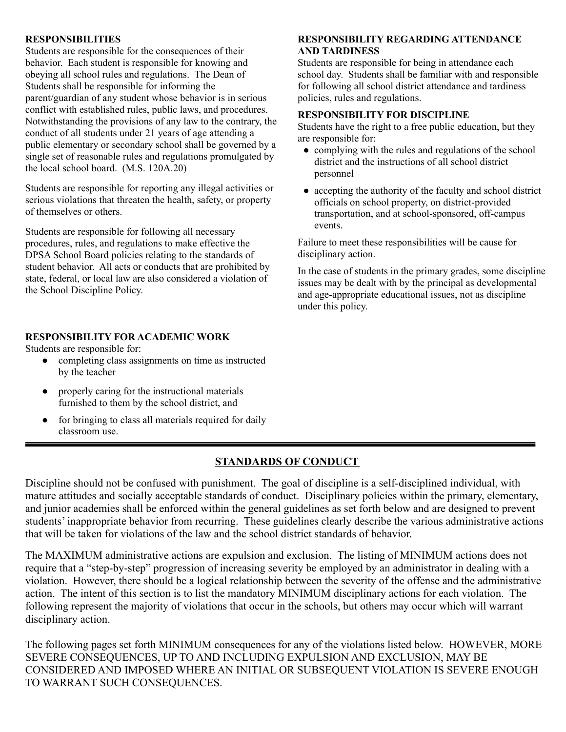#### **RESPONSIBILITIES**

Students are responsible for the consequences of their behavior. Each student is responsible for knowing and obeying all school rules and regulations. The Dean of Students shall be responsible for informing the parent/guardian of any student whose behavior is in serious conflict with established rules, public laws, and procedures. Notwithstanding the provisions of any law to the contrary, the conduct of all students under 21 years of age attending a public elementary or secondary school shall be governed by a single set of reasonable rules and regulations promulgated by the local school board. (M.S. 120A.20)

Students are responsible for reporting any illegal activities or serious violations that threaten the health, safety, or property of themselves or others.

Students are responsible for following all necessary procedures, rules, and regulations to make effective the DPSA School Board policies relating to the standards of student behavior. All acts or conducts that are prohibited by state, federal, or local law are also considered a violation of the School Discipline Policy.

#### **RESPONSIBILITY FOR ACADEMIC WORK**

Students are responsible for:

- completing class assignments on time as instructed by the teacher
- properly caring for the instructional materials furnished to them by the school district, and
- for bringing to class all materials required for daily classroom use.

## **RESPONSIBILITY REGARDING ATTENDANCE AND TARDINESS**

Students are responsible for being in attendance each school day. Students shall be familiar with and responsible for following all school district attendance and tardiness policies, rules and regulations.

## **RESPONSIBILITY FOR DISCIPLINE**

Students have the right to a free public education, but they are responsible for:

- complying with the rules and regulations of the school district and the instructions of all school district personnel
- accepting the authority of the faculty and school district officials on school property, on district-provided transportation, and at school-sponsored, off-campus events.

Failure to meet these responsibilities will be cause for disciplinary action.

In the case of students in the primary grades, some discipline issues may be dealt with by the principal as developmental and age-appropriate educational issues, not as discipline under this policy.

## **STANDARDS OF CONDUCT**

Discipline should not be confused with punishment. The goal of discipline is a self-disciplined individual, with mature attitudes and socially acceptable standards of conduct. Disciplinary policies within the primary, elementary, and junior academies shall be enforced within the general guidelines as set forth below and are designed to prevent students' inappropriate behavior from recurring. These guidelines clearly describe the various administrative actions that will be taken for violations of the law and the school district standards of behavior.

The MAXIMUM administrative actions are expulsion and exclusion. The listing of MINIMUM actions does not require that a "step-by-step" progression of increasing severity be employed by an administrator in dealing with a violation. However, there should be a logical relationship between the severity of the offense and the administrative action. The intent of this section is to list the mandatory MINIMUM disciplinary actions for each violation. The following represent the majority of violations that occur in the schools, but others may occur which will warrant disciplinary action.

The following pages set forth MINIMUM consequences for any of the violations listed below. HOWEVER, MORE SEVERE CONSEQUENCES, UP TO AND INCLUDING EXPULSION AND EXCLUSION, MAY BE CONSIDERED AND IMPOSED WHERE AN INITIAL OR SUBSEQUENT VIOLATION IS SEVERE ENOUGH TO WARRANT SUCH CONSEQUENCES.